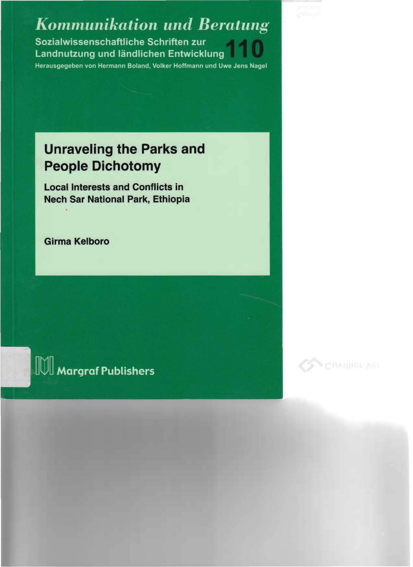**Kommunikation und Beratung** Sozialwissenschaftliche Schriften zur Landnutzung und ländlichen Entwicklung

#### Herausgegeben von Hermann Boland, Volker Hoffmann und Uwe Jens Nagel

## **Unraveling the Parks and People Dichotomy**

Local Interests and Conflicts in Nech Sar National Park, Ethiopia

Girma Kelboro

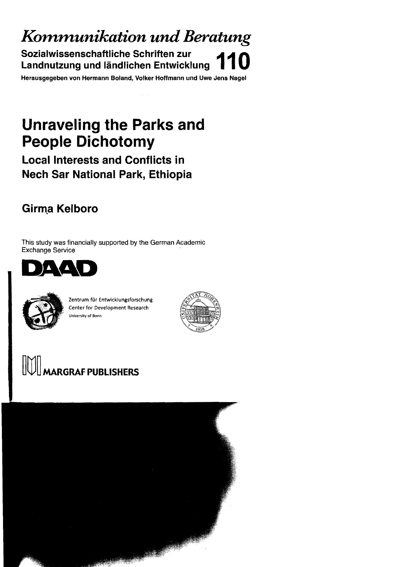*K01n1nunikation und Beratung* 

**Sozialwissenschaftliche Schriften zur landnutzung und ländlichen Entwicklung** 

Herausgegeben von Hermann Boland, Volker Hoffmann und Uwe Jens Nagel

## **Unraveling the Parks and People Dichotomy**

## **Locallnterests and Conflicts in Nech Sar National Park, Ethiopia**

## **Girma Kelboro**

This study was financially supported by the German Academic Exchange Service





Zentrum für Entwicklungsforschung Center for Development Research Unive rsity of Sonn



# m]J~ **MARGRAF PUBLISHERS**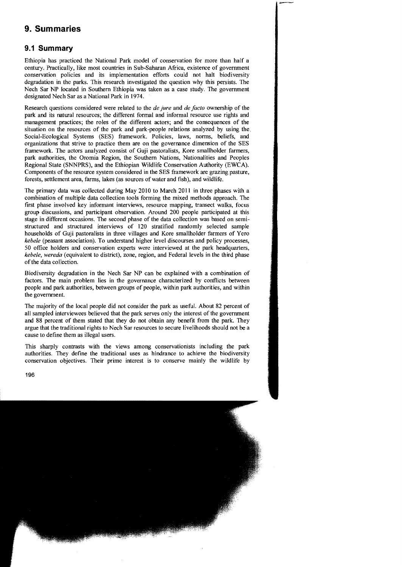### **9. Summaries**

#### **9.1 Summary**

Ethiopia has praetieed the National Park model of eonservation for more than half a eentury. Praetieally, like most countries in Sub-Saharan Afriea, existence of govennnent eonservation polieies and its implementation efforts eould not halt biodiversity degradation in the parks. This research investigated the question why this persists. The Nech Sar NP located in Southern Ethiopia was taken as a case study. The government designated Neeh Sar as a National Park in 1974.

Research questions eonsidered were related to the *de jure* and *de Jacto* ownership of the park and its natural resourees; the different formal and informal resouree use rights and management praetiees; the roles of the different actors; and the eonsequences of the situation on the resources of the park and park-people relations analyzed by using the. Soeial-Eeologieal Systems (SES) framework. Policies, laws, norms, beliefs, and organizations that strive to praetiee them are on the governanee dimension of the SES framework. The aetors analyzed eonsist of Guji pastoralists, Kore smallholder farmers, park authorities, the Oromia Region, the Southern Nations, Nationalities and Peoples Regional State (SNNPRS), and the Ethiopian Wildlife Conservation Authority (EWCA). Components of the resource system considered in the SES framework are grazing pasture, forests, settlement area, farms, lakes (as sources ofwater and fish), and wildlife.

The primary data was collected during May 2010 to March 2011 in three phases with a combination of multiple data collection tools forming the mixed methods approach. The first phase involved key informant interviews, resource mapping, transect walks, focus group discussions, and participant observation. Around 200 people participated at this stage in different occasions. The second phase of the data collection was based on semistructured and structured interviews of 120 stratified randomly selected sampie households of Guji pastoralists in three villages and Kore smallholder farmers of Yero *kebele* (peasant association). To understand higher level discourses and policy processes, 50 office holders and eonservation experts were interviewed at the park headquarters, *kebele, wereda* (equivalent to district), zone, region, and Federal levels in the third phase ofthe data eolleetion.

Biodiversity degradation in the Neeh Sar NP ean be explained with a eombination of faetors. The main problem lies in the governanee eharaeterized by eonfliets between people and park authorities, between groups of people, within park authorities, and within the government.

The majority of the loeal people did not eonsider the park as useful. About 82 percent of all sampled interviewees believed that the park serves only the interest of the government and 88 percent of them stated that they do not obtain any benefit from the park. They argue that the traditional rights to Neeh Sar resourees to seeure livelihoods should not be a eause to define them as illegal users.

This sharply eontrasts with the views among eonservationists including the park authorities. They define the traditional uses as hindranee to aehieve the biodiversity eonservation objeetives. Tbeir prime interest is to eonserve mainly the wildlife by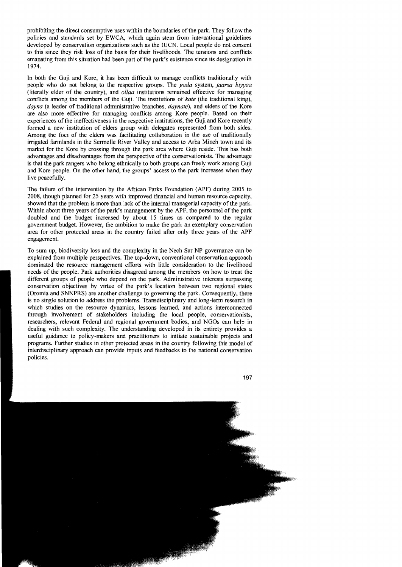prohibiting the direct consumptive uses within the boundaries ofthe park. They follow the policies and standards set by EWCA, which again stem from international guidelines developed by conservation organizations such as the IUCN. Local people do not consent to this since they risk loss of the basis for their livelihoods. The tensions and conflicts emanating from this situation had been part of the park's existence since its designation in 1974.

In both the Guji and Kore, it has been diffieult to manage conflicts traditionally with people who do not belong to the respective groups. The *gada* system, *jaarsa biyyaa*  (Iiterally eider of the country), and *ollaa* institutions remained effective for managing conflicts among the members of the Guji. The institutions of *kate* (the traditional king), *dayna* (a leader of traditional administrative branches, *daynate),* and elders of the Kore are also more effective for managing conflicts among Kore people. Based on their experiences of the ineffectiveness in the respective institutions, the Guii and Kore recently formed a new institution of elders group with delegates represented from both sides. Among the foci of the elders was facilitating collaboration in the use of traditionally irrigated farmlands in the Sermelle River Valley and access to Arba Minch town and its market for the Kore by crossing through the park area where Guji reside. This has both advantages and disadvantages from the perspective of the conservationists. The advantage is that the park rangers who belong ethnically to both groups can freely work among Guji and Kore people. On the other hand, the groups' access to the park increases when they live peacefully.

The failure of the intervention by the African Parks Foundation (APF) during 2005 to 2008, though planned for 25 years with improved financial and human resource capacity, showed that the problem is more than lack of the internal managerial capacity of the park. Within about three years of the park's management by the APF, the personnel of the park doubled and the budget increased by about 15 times as compared to the regular government budget. However, the ambition to make the park an exemplary conservation area for other protected areas in the country failed after only three years of the APF engagement.

To sum up, biodiversity loss and the complexity in the Nech Sar NP governance ean be explained from multiple perspectives. The top-down, conventional conservation approach dominated the resource management efforts with little consideration to the livelihood needs of the people. Park authorities disagreed among the members on how to treat the different groups of people who depend on the park. Administrative interests surpassing conservation objectives by virtue of the park's loeation between two regional states (Oromia and SNNPRS) are another challenge to governing the park. Consequently, there is no single solution to address the problems. Transdisciplinary and long-term research in which studies on the resouree dynamics, lessons learned, and actions interconnected through involvement of stakeholders including the local people, conservationists, researchers, relevant Federal and regional govemment bodies, and NGOs can help in dealing with sueh complexity. The understanding developed in its entirety provides a useful guidanee to policy-makers and practitioners to initiate sustainable projects and programs. Further studies in other protected areas in the country following this model of interdisciplinary approach can provide inputs and feedbacks to the national conservation policies.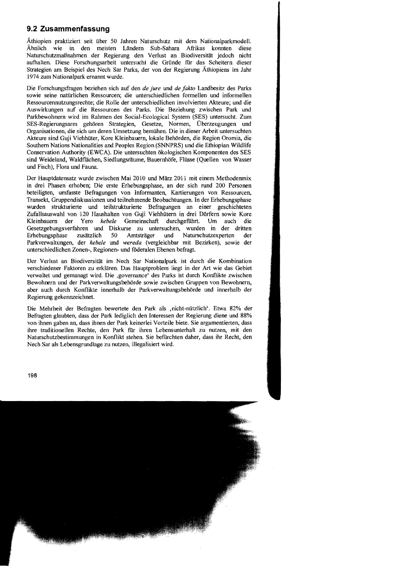#### **9.2 Zusammenfassung**

Äthiopien praktiziert seit über 50 Jahren Naturschutz mit dem Nationalparkmodell. Ähnlich wie in den meisten Ländern Sub-Sahara Afrikas konnten diese Naturschutzmaßnahmen der Regierung den Verlust an Biodiversität jedoch nicht aufhalten. Diese Forschungsarbeit untersucht die Gründe rur das Scheitern dieser Strategien am Beispiel des Nech Sar Parks, der von der Regierung Äthiopiens im Jahr 1974 zum Nationalpark ernannt wurde.

Die Forschungsfragen beziehen sich auf den *de jure* und *de fakta* Landbesitz des Parks sowie seine natürlichen Ressourcen; die unterschiedlichen formellen und informellen Ressourcennutzungsrechte; die Rolle der unterschiedlichen involvierten Akteure; und die Auswirkungen auf die Ressourcen des Parks. Die Beziehung zwischen Park und Parkbewohnern wird im Rahmen des Social-Ecological System (SES) untersucht. Zum SES-Regierungsarm gehören Strategien, Gesetze, Normen, Überzeugungen und Organisationen, die sich um deren Umsetzung bemühen. Die in dieser Arbeit untersuchten Akteure sind Guji Viehhüter, Kore Kleinbauern, lokale Behörden, die Region Oromia, die Southern Nations Nationalities and Peoples Region (SNNPRS) und die Ethiopian Wildlife Conservation Authority (EWCA). Die untersuchten ökologischen Komponenten des SES sind Weideland, Waldflächen, Siedlungsräume, Bauernhöfe, Flüsse (Quellen von Wasser und Fisch), Flora und Fauna.

Der Hauptdatensatz wurde zwischen Mai 2010 und März 2011 mit einem Methodenrnix in drei Phasen erhoben; Die erste Erhebungsphase, an der sich rund 200 Personen beteiligten, umfasste Befragungen von Informanten, Kartierungen von Ressourcen, Transekt, Gruppendiskussionen und teilnehmende Beobachtungen. In der Erhebungsphase und teilstrukturierte Befragungen an einer geschichteten Zufallsauswahl von 120 Haushalten von Guji Viehhütern in drei Dörfern sowie Kore Kleinbauern der Yero *kebele* Gemeinschaft durchgeführt. Um auch die Gesetzgebungsverfahren und Diskurse zu untersuchen, wurden in der dritten Erhebungsphase zusätzlich 50 Amtsträger und Naturschutzexperten der Parkverwaltungen, der *kebe/e* und *wereda* (vergleichbar mit Bezirken), sowie der unterschiedlichen Zonen-, Regionen- und föderalen Ebenen befragt.

Der Verlust an Biodiversität im Nech Sar Nationalpark ist durch die Kombination verschiedener Faktoren zu erklären. Das Hauptproblern liegt in der Art wie das Gebiet verwaltet und gemanagt wird. Die ,governance' des Parks ist durch Konflikte zwischen Bewohnern und der Parkverwaltungsbehörde sowie zwischen Gruppen von Bewohnern, aber auch durch Konflikte innerhalb der ParkverwaItungsbehörde und innerhalb der Regierung gekennzeichnet.

Die Mehrheit der Befragten bewertete den Park als ,nicht-nützlich'. Etwa 82% der Befragten glaubten, dass der Park lediglich den Interessen der Regierung diene und 88% von ihnen gaben an, dass ihnen der Park keinerlei Vorteile biete. Sie argumentierten, dass ihre traditionellen Rechte, den Park für ihren Lebensunterhalt zu nutzen, mit den Naturschutzbestimmungen in Konflikt stehen. Sie berurchten daher, dass ihr Recht, den Nech Sar als Lebensgrundlage zu nutzen, iIlegalisiert wird.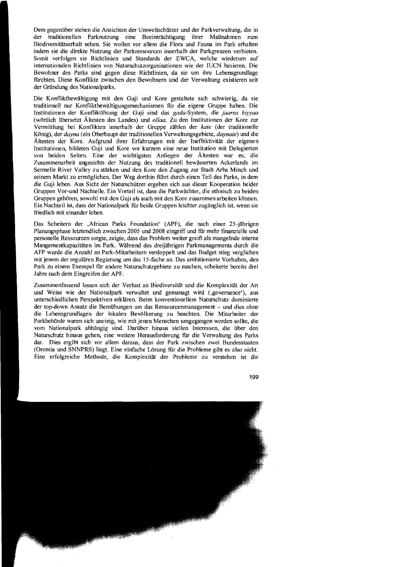Dem gegenüber stehen die Ansichten der Umweltschützer und der Parkverwaltung, die in der traditionellen Parknutzung eine Beeinträchtigung ihrer Maßnahmen zum Biodiversitätserhalt sehen. Sie wollen vor allem die Flora und Fauna im Park erhalten indem sie die direkte Nutzung der Parkressourcen innerhalb der Parkgrenzen verbieten. Somit verfolgen sie Richtlinien und Standards der EWCA, welche wiederum auf internationalen Richtlinien von Naturschutzorganisationen wie der IUCN basieren. Die Bewohner des Parks sind gegen diese Richtlinien, da sie um ihre Lebensgrundlage fürchten. Diese Konflikte zwischen den Bewohnern und der Verwaltung existieren seit der Gründung des Nationalparks.

Die Konfliktbewältigung mit den Guji und Kore gestaltete sich schwierig, da sie traditionell nur Konfliktbewältigungsmechanismen für die eigene Gruppe haben. Die Institutionen der Konfliktlösung der Guji sind das gada-System, die *jaarsa biyyaa*  (wörtlich übersetzt Ältesten des Landes) und *ollaa.* Zu den Institutionen der Kore zur Vermittlung bei Konflikten innerhalb der Gruppe zählen der *kate* (der traditionelle König), der *dayna* (ein Oberhaupt der traditionellen Verwaltungsgebiete, *daynate)* und die Ältesten der Kore. Aufgrund ihrer Erfahrungen mit der Ineffektivität der eigenen Institutionen, bildeten Guji und Kore vor kurzem eine neue Institution mit Delegierten von beiden Seiten. Eine der wichtigsten Anliegen der Ältesten war es, die Zusammenarbeit angesichts der Nutzung des traditionell bewässerten Ackerlands im Sermelle River Valley zu stärken und den Kore den Zugang zur Stadt Arba Minch und seinem Markt zu ermöglichen. Der Weg dorthin führt durch einen Teil des Parks, in dem die Guji leben. Aus Sicht der Naturschützer ergehen sich aus dieser Kooperation beider Gruppen Vor-und Nachteile. Ein Vorteil ist, dass die Parkwächter, die ethnisch zu heiden Gruppen gehören, sowohl mit den Guji als auch mit den Kore zusammen arbeiten können. Ein Nachteil ist, dass der Nationalpark für beide Gruppen leichter zugänglich ist, wenn sie friedlich mit einander leben.

Das Scheitern der ,African Parks Foundation' (APF), die nach einer 25 -jährigen Planungsphase letztendlich zwischen 2005 und 2008 eingriff und fUr mehr finanzielle und personelle Ressourcen sorgte, zeigte, dass das Problem weiter greift als mangelnde interne Mangementkapazitäten im Park. Während des dreijährigen Parkmanagements durch die AFP wurde die Anzahl an Park-Mitarbeitern verdoppelt und das Budget stieg verglichen mit jenem der regulären Regierung um das 15-fache an. Das ambitionierte Vorhaben, den Park zu einem Exempel für andere Naturschutzgebiete zu machen, scheiterte bereits drei Jahre nach dem Eingreifen der APF.

Zusammenfassend lassen sich der Verlust an Biodiversität und die Komplexität der Art und Weise wie der Nationalpark verwaltet und gemanagt wird (,governance'), aus unterschiedlichen Perspektiven erklären. Beim konventionellem Naturschutz dominierte der top-down Ansatz die Bemühungen um das Ressourcenmanagement – und dies ohne die Lebensgrundlagen der lokalen Bevölkerung zu beachten. Die Mitarbeiter der Parkbehörde waren sich uneinig, wie mit jenen Menschen umgegangen werden sollte, die vom Nationalpark abhängig sind. Darüber hinaus stellen Interessen, die über den Naturschutz hinaus gehen, eine weitere Herausforderung für die Verwaltung des Parks dar. Dies ergibt sich vor allem daraus, dass der Park zwischen zwei Bundesstaaten (Oromia und SNNPRS) liegt. Eine einfache Lösung für die Probleme gibt es also nicht. Eine erfolgreiche Methode, die Komplexität der Probleme zu verstehen ist die